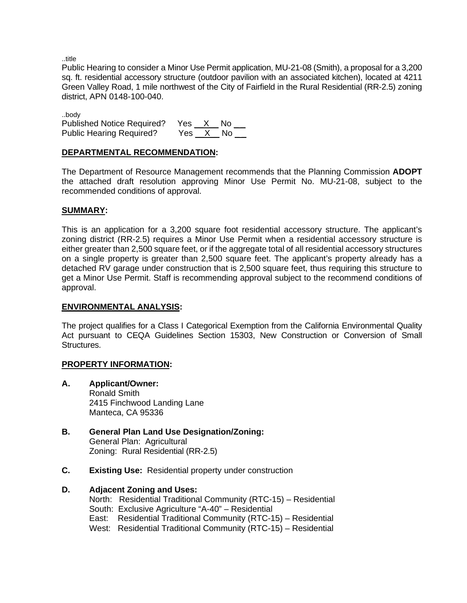..title

Public Hearing to consider a Minor Use Permit application, MU-21-08 (Smith), a proposal for a 3,200 sq. ft. residential accessory structure (outdoor pavilion with an associated kitchen), located at 4211 Green Valley Road, 1 mile northwest of the City of Fairfield in the Rural Residential (RR-2.5) zoning district, APN 0148-100-040.

..body

| Published Notice Required? Yes X |          | - No |  |
|----------------------------------|----------|------|--|
| <b>Public Hearing Required?</b>  | Yes X No |      |  |

# **DEPARTMENTAL RECOMMENDATION:**

The Department of Resource Management recommends that the Planning Commission **ADOPT**  the attached draft resolution approving Minor Use Permit No. MU-21-08, subject to the recommended conditions of approval.

# **SUMMARY:**

This is an application for a 3,200 square foot residential accessory structure. The applicant's zoning district (RR-2.5) requires a Minor Use Permit when a residential accessory structure is either greater than 2,500 square feet, or if the aggregate total of all residential accessory structures on a single property is greater than 2,500 square feet. The applicant's property already has a detached RV garage under construction that is 2,500 square feet, thus requiring this structure to get a Minor Use Permit. Staff is recommending approval subject to the recommend conditions of approval.

#### **ENVIRONMENTAL ANALYSIS:**

The project qualifies for a Class I Categorical Exemption from the California Environmental Quality Act pursuant to CEQA Guidelines Section 15303, New Construction or Conversion of Small Structures.

# **PROPERTY INFORMATION:**

- **A. Applicant/Owner:** Ronald Smith 2415 Finchwood Landing Lane Manteca, CA 95336
- **B. General Plan Land Use Designation/Zoning:** General Plan: Agricultural Zoning: Rural Residential (RR-2.5)
- **C. Existing Use:** Residential property under construction

# **D. Adjacent Zoning and Uses:**

 North: Residential Traditional Community (RTC-15) – Residential South: Exclusive Agriculture "A-40" – Residential East: Residential Traditional Community (RTC-15) – Residential West: Residential Traditional Community (RTC-15) – Residential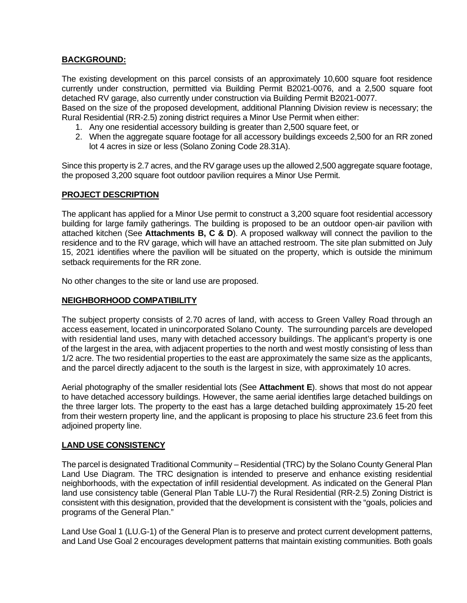# **BACKGROUND:**

The existing development on this parcel consists of an approximately 10,600 square foot residence currently under construction, permitted via Building Permit B2021-0076, and a 2,500 square foot detached RV garage, also currently under construction via Building Permit B2021-0077.

Based on the size of the proposed development, additional Planning Division review is necessary; the Rural Residential (RR-2.5) zoning district requires a Minor Use Permit when either:

- 1. Any one residential accessory building is greater than 2,500 square feet, or
- 2. When the aggregate square footage for all accessory buildings exceeds 2,500 for an RR zoned lot 4 acres in size or less (Solano Zoning Code 28.31A).

Since this property is 2.7 acres, and the RV garage uses up the allowed 2,500 aggregate square footage, the proposed 3,200 square foot outdoor pavilion requires a Minor Use Permit.

#### **PROJECT DESCRIPTION**

The applicant has applied for a Minor Use permit to construct a 3,200 square foot residential accessory building for large family gatherings. The building is proposed to be an outdoor open-air pavilion with attached kitchen (See **Attachments B, C & D**). A proposed walkway will connect the pavilion to the residence and to the RV garage, which will have an attached restroom. The site plan submitted on July 15, 2021 identifies where the pavilion will be situated on the property, which is outside the minimum setback requirements for the RR zone.

No other changes to the site or land use are proposed.

#### **NEIGHBORHOOD COMPATIBILITY**

The subject property consists of 2.70 acres of land, with access to Green Valley Road through an access easement, located in unincorporated Solano County. The surrounding parcels are developed with residential land uses, many with detached accessory buildings. The applicant's property is one of the largest in the area, with adjacent properties to the north and west mostly consisting of less than 1/2 acre. The two residential properties to the east are approximately the same size as the applicants, and the parcel directly adjacent to the south is the largest in size, with approximately 10 acres.

Aerial photography of the smaller residential lots (See **Attachment E**). shows that most do not appear to have detached accessory buildings. However, the same aerial identifies large detached buildings on the three larger lots. The property to the east has a large detached building approximately 15-20 feet from their western property line, and the applicant is proposing to place his structure 23.6 feet from this adjoined property line.

#### **LAND USE CONSISTENCY**

The parcel is designated Traditional Community – Residential (TRC) by the Solano County General Plan Land Use Diagram. The TRC designation is intended to preserve and enhance existing residential neighborhoods, with the expectation of infill residential development. As indicated on the General Plan land use consistency table (General Plan Table LU-7) the Rural Residential (RR-2.5) Zoning District is consistent with this designation, provided that the development is consistent with the "goals, policies and programs of the General Plan."

Land Use Goal 1 (LU.G-1) of the General Plan is to preserve and protect current development patterns, and Land Use Goal 2 encourages development patterns that maintain existing communities. Both goals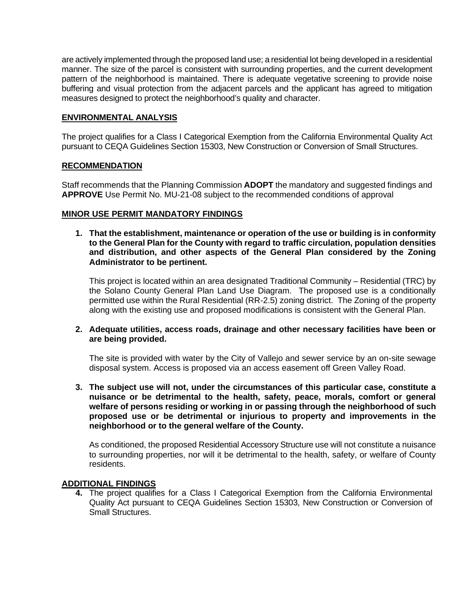are actively implemented through the proposed land use; a residential lot being developed in a residential manner. The size of the parcel is consistent with surrounding properties, and the current development pattern of the neighborhood is maintained. There is adequate vegetative screening to provide noise buffering and visual protection from the adjacent parcels and the applicant has agreed to mitigation measures designed to protect the neighborhood's quality and character.

#### **ENVIRONMENTAL ANALYSIS**

The project qualifies for a Class I Categorical Exemption from the California Environmental Quality Act pursuant to CEQA Guidelines Section 15303, New Construction or Conversion of Small Structures.

#### **RECOMMENDATION**

Staff recommends that the Planning Commission **ADOPT** the mandatory and suggested findings and **APPROVE** Use Permit No. MU-21-08 subject to the recommended conditions of approval

#### **MINOR USE PERMIT MANDATORY FINDINGS**

**1. That the establishment, maintenance or operation of the use or building is in conformity to the General Plan for the County with regard to traffic circulation, population densities and distribution, and other aspects of the General Plan considered by the Zoning Administrator to be pertinent.**

This project is located within an area designated Traditional Community – Residential (TRC) by the Solano County General Plan Land Use Diagram. The proposed use is a conditionally permitted use within the Rural Residential (RR-2.5) zoning district. The Zoning of the property along with the existing use and proposed modifications is consistent with the General Plan.

#### **2. Adequate utilities, access roads, drainage and other necessary facilities have been or are being provided.**

The site is provided with water by the City of Vallejo and sewer service by an on-site sewage disposal system. Access is proposed via an access easement off Green Valley Road.

**3. The subject use will not, under the circumstances of this particular case, constitute a nuisance or be detrimental to the health, safety, peace, morals, comfort or general welfare of persons residing or working in or passing through the neighborhood of such proposed use or be detrimental or injurious to property and improvements in the neighborhood or to the general welfare of the County.**

As conditioned, the proposed Residential Accessory Structure use will not constitute a nuisance to surrounding properties, nor will it be detrimental to the health, safety, or welfare of County residents.

# **ADDITIONAL FINDINGS**

**4.** The project qualifies for a Class I Categorical Exemption from the California Environmental Quality Act pursuant to CEQA Guidelines Section 15303, New Construction or Conversion of Small Structures.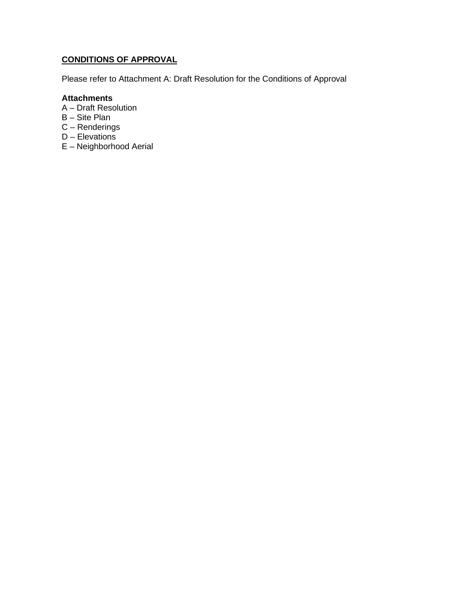# **CONDITIONS OF APPROVAL**

Please refer to Attachment A: Draft Resolution for the Conditions of Approval

#### **Attachments**

- A Draft Resolution
- B Site Plan
- C Renderings
- D Elevations
- E Neighborhood Aerial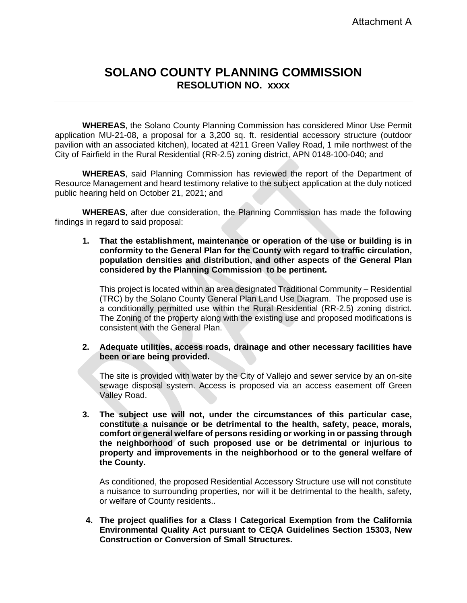# **SOLANO COUNTY PLANNING COMMISSION RESOLUTION NO. xxxx**

**WHEREAS**, the Solano County Planning Commission has considered Minor Use Permit application MU-21-08, a proposal for a 3,200 sq. ft. residential accessory structure (outdoor pavilion with an associated kitchen), located at 4211 Green Valley Road, 1 mile northwest of the City of Fairfield in the Rural Residential (RR-2.5) zoning district, APN 0148-100-040; and

**WHEREAS**, said Planning Commission has reviewed the report of the Department of Resource Management and heard testimony relative to the subject application at the duly noticed public hearing held on October 21, 2021; and

**WHEREAS**, after due consideration, the Planning Commission has made the following findings in regard to said proposal:

**1. That the establishment, maintenance or operation of the use or building is in conformity to the General Plan for the County with regard to traffic circulation, population densities and distribution, and other aspects of the General Plan considered by the Planning Commission to be pertinent.**

This project is located within an area designated Traditional Community – Residential (TRC) by the Solano County General Plan Land Use Diagram. The proposed use is a conditionally permitted use within the Rural Residential (RR-2.5) zoning district. The Zoning of the property along with the existing use and proposed modifications is consistent with the General Plan.

**2. Adequate utilities, access roads, drainage and other necessary facilities have been or are being provided.**

The site is provided with water by the City of Vallejo and sewer service by an on-site sewage disposal system. Access is proposed via an access easement off Green Valley Road.

**3. The subject use will not, under the circumstances of this particular case, constitute a nuisance or be detrimental to the health, safety, peace, morals, comfort or general welfare of persons residing or working in or passing through the neighborhood of such proposed use or be detrimental or injurious to property and improvements in the neighborhood or to the general welfare of the County.**

As conditioned, the proposed Residential Accessory Structure use will not constitute a nuisance to surrounding properties, nor will it be detrimental to the health, safety, or welfare of County residents..

**4. The project qualifies for a Class I Categorical Exemption from the California Environmental Quality Act pursuant to CEQA Guidelines Section 15303, New Construction or Conversion of Small Structures.**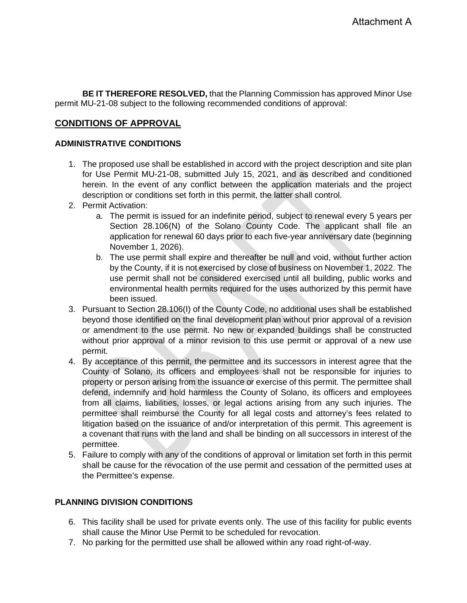**BE IT THEREFORE RESOLVED,** that the Planning Commission has approved Minor Use permit MU-21-08 subject to the following recommended conditions of approval:

# **CONDITIONS OF APPROVAL**

# **ADMINISTRATIVE CONDITIONS**

- 1. The proposed use shall be established in accord with the project description and site plan for Use Permit MU-21-08, submitted July 15, 2021, and as described and conditioned herein. In the event of any conflict between the application materials and the project description or conditions set forth in this permit, the latter shall control.
- 2. Permit Activation:
	- a. The permit is issued for an indefinite period, subject to renewal every 5 years per Section 28.106(N) of the Solano County Code. The applicant shall file an application for renewal 60 days prior to each five-year anniversary date (beginning November 1, 2026).
	- b. The use permit shall expire and thereafter be null and void, without further action by the County, if it is not exercised by close of business on November 1, 2022. The use permit shall not be considered exercised until all building, public works and environmental health permits required for the uses authorized by this permit have been issued.
- 3. Pursuant to Section 28.106(I) of the County Code, no additional uses shall be established beyond those identified on the final development plan without prior approval of a revision or amendment to the use permit. No new or expanded buildings shall be constructed without prior approval of a minor revision to this use permit or approval of a new use permit.
- 4. By acceptance of this permit, the permittee and its successors in interest agree that the County of Solano, its officers and employees shall not be responsible for injuries to property or person arising from the issuance or exercise of this permit. The permittee shall defend, indemnify and hold harmless the County of Solano, its officers and employees from all claims, liabilities, losses, or legal actions arising from any such injuries. The permittee shall reimburse the County for all legal costs and attorney's fees related to litigation based on the issuance of and/or interpretation of this permit. This agreement is a covenant that runs with the land and shall be binding on all successors in interest of the permittee.
- 5. Failure to comply with any of the conditions of approval or limitation set forth in this permit shall be cause for the revocation of the use permit and cessation of the permitted uses at the Permittee's expense.

# **PLANNING DIVISION CONDITIONS**

- 6. This facility shall be used for private events only. The use of this facility for public events shall cause the Minor Use Permit to be scheduled for revocation.
- 7. No parking for the permitted use shall be allowed within any road right-of-way.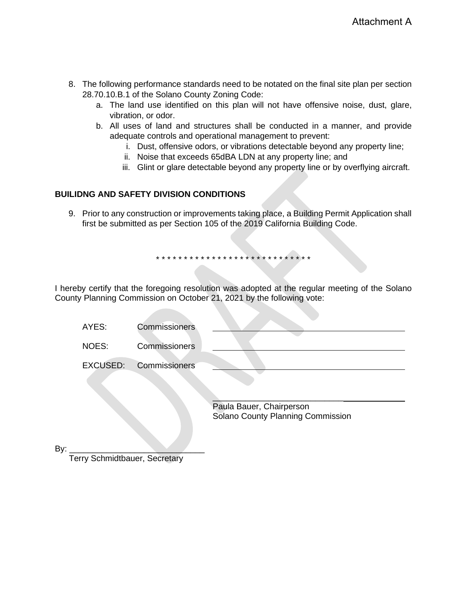- 8. The following performance standards need to be notated on the final site plan per section 28.70.10.B.1 of the Solano County Zoning Code:
	- a. The land use identified on this plan will not have offensive noise, dust, glare, vibration, or odor.
	- b. All uses of land and structures shall be conducted in a manner, and provide adequate controls and operational management to prevent:
		- i. Dust, offensive odors, or vibrations detectable beyond any property line;
		- ii. Noise that exceeds 65dBA LDN at any property line; and
		- iii. Glint or glare detectable beyond any property line or by overflying aircraft.

# **BUILIDNG AND SAFETY DIVISION CONDITIONS**

9. Prior to any construction or improvements taking place, a Building Permit Application shall first be submitted as per Section 105 of the 2019 California Building Code.

#### \* \* \* \* \* \* \* \* \* \* \* \* \* \* \* \* \* \* \* \* \* \* \* \* \* \* \* \*

I hereby certify that the foregoing resolution was adopted at the regular meeting of the Solano County Planning Commission on October 21, 2021 by the following vote:

**Service** 

|     | AYES:                         | Commissioners |                                   |
|-----|-------------------------------|---------------|-----------------------------------|
|     | NOES:                         | Commissioners |                                   |
|     | <b>EXCUSED:</b>               | Commissioners |                                   |
|     |                               |               |                                   |
|     |                               |               | Paula Bauer, Chairperson          |
|     |                               |               | Solano County Planning Commission |
|     |                               |               |                                   |
| By: |                               |               |                                   |
|     | Tarry Schmidthauar, Sacratary |               |                                   |

Terry Schmidtbauer, Secretary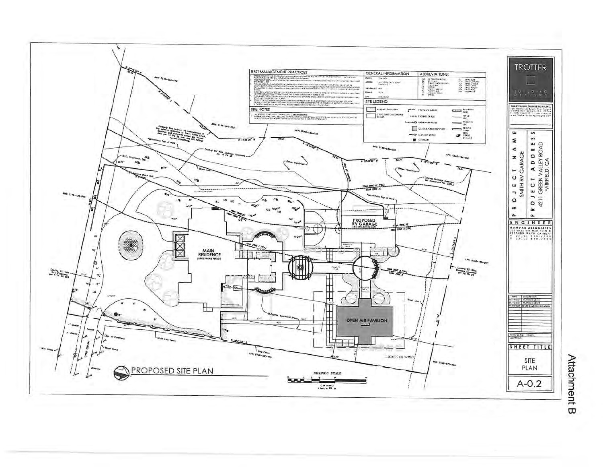

Attachment B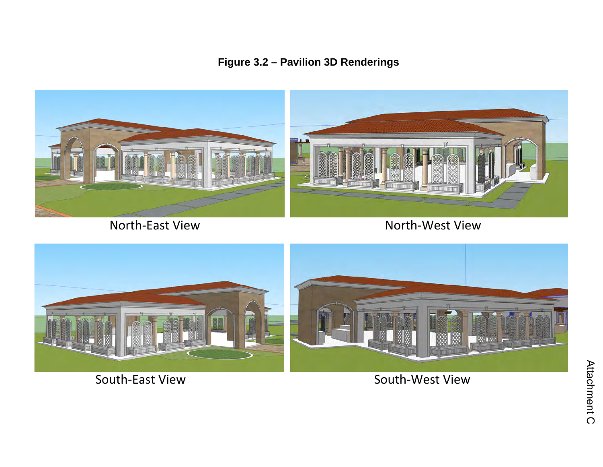**Figure 3.2 – Pavilion 3D Renderings** 



North-East View **North-West View** 



South-East View South-West View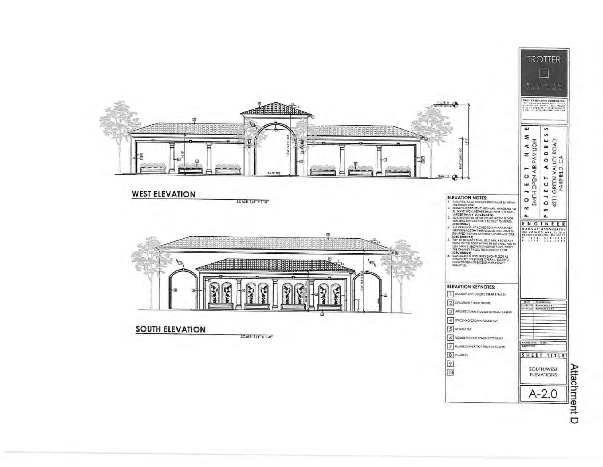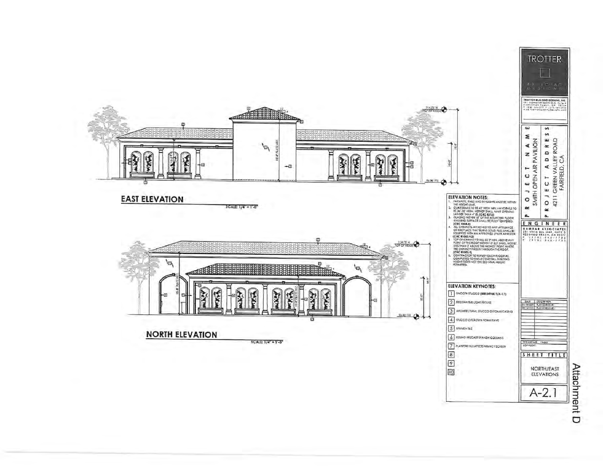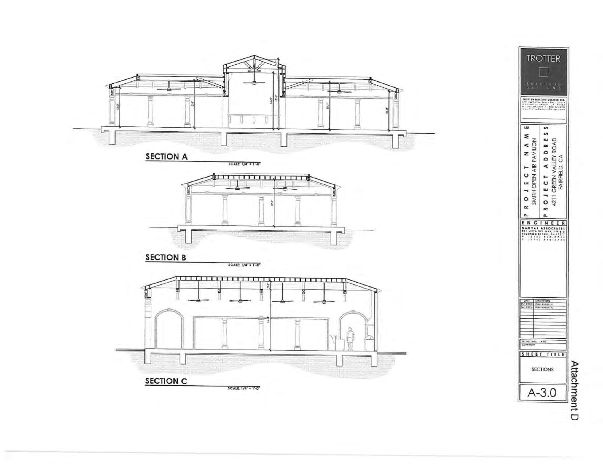